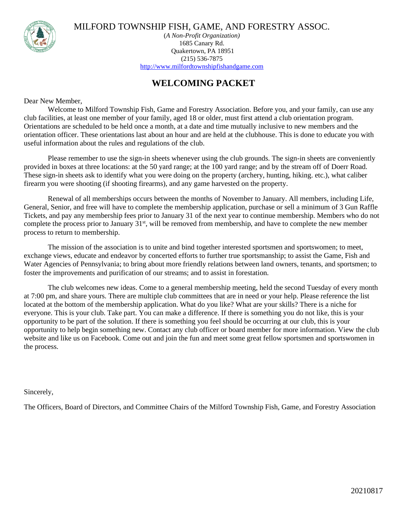

MILFORD TOWNSHIP FISH, GAME, AND FORESTRY ASSOC.

(*A Non-Profit Organization)* 1685 Canary Rd. Quakertown, PA 18951 (215) 536-7875 [http://www.milfordtownshipfishandgame.com](http://www.milfordtownshipfishandgame.com/)

## **WELCOMING PACKET**

Dear New Member,

Welcome to Milford Township Fish, Game and Forestry Association. Before you, and your family, can use any club facilities, at least one member of your family, aged 18 or older, must first attend a club orientation program. Orientations are scheduled to be held once a month, at a date and time mutually inclusive to new members and the orientation officer. These orientations last about an hour and are held at the clubhouse. This is done to educate you with useful information about the rules and regulations of the club.

Please remember to use the sign-in sheets whenever using the club grounds. The sign-in sheets are conveniently provided in boxes at three locations: at the 50 yard range; at the 100 yard range; and by the stream off of Doerr Road. These sign-in sheets ask to identify what you were doing on the property (archery, hunting, hiking. etc.), what caliber firearm you were shooting (if shooting firearms), and any game harvested on the property.

Renewal of all memberships occurs between the months of November to January. All members, including Life, General, Senior, and free will have to complete the membership application, purchase or sell a minimum of 3 Gun Raffle Tickets, and pay any membership fees prior to January 31 of the next year to continue membership. Members who do not complete the process prior to January 31st, will be removed from membership, and have to complete the new member process to return to membership.

The mission of the association is to unite and bind together interested sportsmen and sportswomen; to meet, exchange views, educate and endeavor by concerted efforts to further true sportsmanship; to assist the Game, Fish and Water Agencies of Pennsylvania; to bring about more friendly relations between land owners, tenants, and sportsmen; to foster the improvements and purification of our streams; and to assist in forestation.

The club welcomes new ideas. Come to a general membership meeting, held the second Tuesday of every month at 7:00 pm, and share yours. There are multiple club committees that are in need or your help. Please reference the list located at the bottom of the membership application. What do you like? What are your skills? There is a niche for everyone. This is your club. Take part. You can make a difference. If there is something you do not like, this is your opportunity to be part of the solution. If there is something you feel should be occurring at our club, this is your opportunity to help begin something new. Contact any club officer or board member for more information. View the club website and like us on Facebook. Come out and join the fun and meet some great fellow sportsmen and sportswomen in the process.

Sincerely,

The Officers, Board of Directors, and Committee Chairs of the Milford Township Fish, Game, and Forestry Association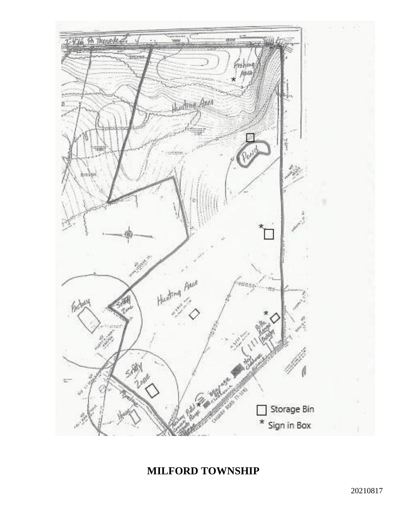

## **MILFORD TOWNSHIP**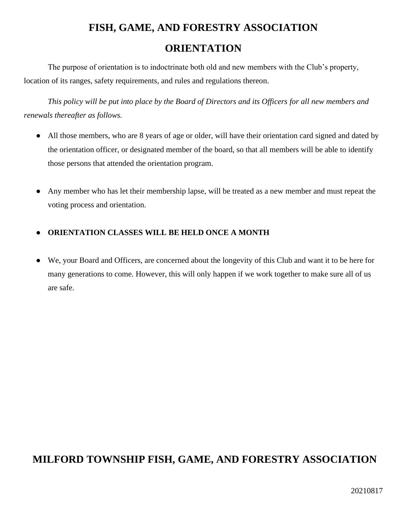# **FISH, GAME, AND FORESTRY ASSOCIATION ORIENTATION**

The purpose of orientation is to indoctrinate both old and new members with the Club's property, location of its ranges, safety requirements, and rules and regulations thereon.

*This policy will be put into place by the Board of Directors and its Officers for all new members and renewals thereafter as follows.*

- All those members, who are 8 years of age or older, will have their orientation card signed and dated by the orientation officer, or designated member of the board, so that all members will be able to identify those persons that attended the orientation program.
- Any member who has let their membership lapse, will be treated as a new member and must repeat the voting process and orientation.

#### ● **ORIENTATION CLASSES WILL BE HELD ONCE A MONTH**

● We, your Board and Officers, are concerned about the longevity of this Club and want it to be here for many generations to come. However, this will only happen if we work together to make sure all of us are safe.

## **MILFORD TOWNSHIP FISH, GAME, AND FORESTRY ASSOCIATION**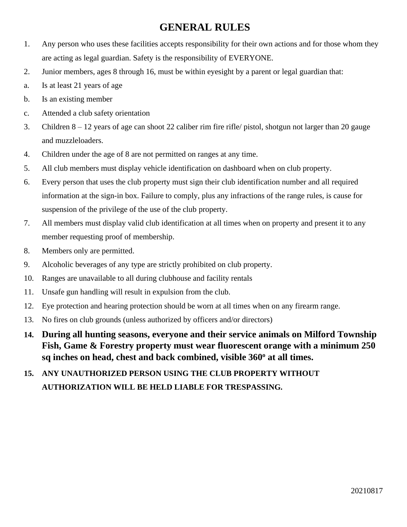## **GENERAL RULES**

- 1. Any person who uses these facilities accepts responsibility for their own actions and for those whom they are acting as legal guardian. Safety is the responsibility of EVERYONE.
- 2. Junior members, ages 8 through 16, must be within eyesight by a parent or legal guardian that:
- a. Is at least 21 years of age
- b. Is an existing member
- c. Attended a club safety orientation
- 3. Children 8 12 years of age can shoot 22 caliber rim fire rifle/ pistol, shotgun not larger than 20 gauge and muzzleloaders.
- 4. Children under the age of 8 are not permitted on ranges at any time.
- 5. All club members must display vehicle identification on dashboard when on club property.
- 6. Every person that uses the club property must sign their club identification number and all required information at the sign-in box. Failure to comply, plus any infractions of the range rules, is cause for suspension of the privilege of the use of the club property.
- 7. All members must display valid club identification at all times when on property and present it to any member requesting proof of membership.
- 8. Members only are permitted.
- 9. Alcoholic beverages of any type are strictly prohibited on club property.
- 10. Ranges are unavailable to all during clubhouse and facility rentals
- 11. Unsafe gun handling will result in expulsion from the club.
- 12. Eye protection and hearing protection should be worn at all times when on any firearm range.
- 13. No fires on club grounds (unless authorized by officers and/or directors)
- **14. During all hunting seasons, everyone and their service animals on Milford Township Fish, Game & Forestry property must wear fluorescent orange with a minimum 250 sq inches on head, chest and back combined, visible 360<sup>o</sup> at all times.**
- **15. ANY UNAUTHORIZED PERSON USING THE CLUB PROPERTY WITHOUT AUTHORIZATION WILL BE HELD LIABLE FOR TRESPASSING.**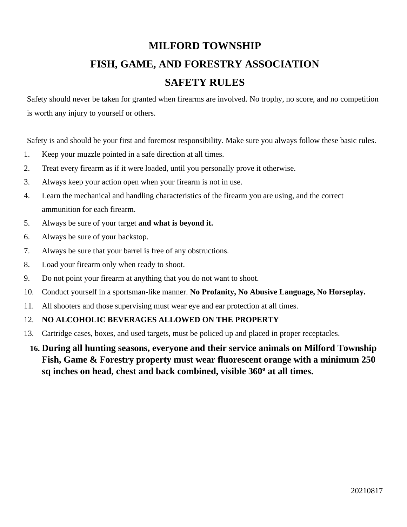## **MILFORD TOWNSHIP FISH, GAME, AND FORESTRY ASSOCIATION SAFETY RULES**

Safety should never be taken for granted when firearms are involved. No trophy, no score, and no competition is worth any injury to yourself or others.

Safety is and should be your first and foremost responsibility. Make sure you always follow these basic rules.

- 1. Keep your muzzle pointed in a safe direction at all times.
- 2. Treat every firearm as if it were loaded, until you personally prove it otherwise.
- 3. Always keep your action open when your firearm is not in use.
- 4. Learn the mechanical and handling characteristics of the firearm you are using, and the correct ammunition for each firearm.
- 5. Always be sure of your target **and what is beyond it.**
- 6. Always be sure of your backstop.
- 7. Always be sure that your barrel is free of any obstructions.
- 8. Load your firearm only when ready to shoot.
- 9. Do not point your firearm at anything that you do not want to shoot.
- 10. Conduct yourself in a sportsman-like manner. **No Profanity, No Abusive Language, No Horseplay.**
- 11. All shooters and those supervising must wear eye and ear protection at all times.

#### 12. **NO ALCOHOLIC BEVERAGES ALLOWED ON THE PROPERTY**

13. Cartridge cases, boxes, and used targets, must be policed up and placed in proper receptacles.

## **16. During all hunting seasons, everyone and their service animals on Milford Township Fish, Game & Forestry property must wear fluorescent orange with a minimum 250 sq inches on head, chest and back combined, visible 360<sup>o</sup> at all times.**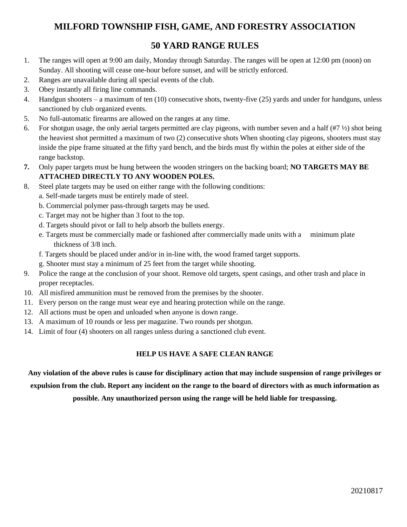#### **MILFORD TOWNSHIP FISH, GAME, AND FORESTRY ASSOCIATION**

#### **50 YARD RANGE RULES**

- 1. The ranges will open at 9:00 am daily, Monday through Saturday. The ranges will be open at 12:00 pm (noon) on Sunday. All shooting will cease one-hour before sunset, and will be strictly enforced.
- 2. Ranges are unavailable during all special events of the club.
- 3. Obey instantly all firing line commands.
- 4. Handgun shooters a maximum of ten (10) consecutive shots, twenty-five (25) yards and under for handguns, unless sanctioned by club organized events.
- 5. No full-automatic firearms are allowed on the ranges at any time.
- 6. For shotgun usage, the only aerial targets permitted are clay pigeons, with number seven and a half  $(H7 V_2)$  shot being the heaviest shot permitted a maximum of two (2) consecutive shots When shooting clay pigeons, shooters must stay inside the pipe frame situated at the fifty yard bench, and the birds must fly within the poles at either side of the range backstop.
- **7.** Only paper targets must be hung between the wooden stringers on the backing board; **NO TARGETS MAY BE ATTACHED DIRECTLY TO ANY WOODEN POLES.**
- 8. Steel plate targets may be used on either range with the following conditions:
	- a. Self-made targets must be entirely made of steel.
	- b. Commercial polymer pass-through targets may be used.
	- c. Target may not be higher than 3 foot to the top.
	- d. Targets should pivot or fall to help absorb the bullets energy.
	- e. Targets must be commercially made or fashioned after commercially made units with a minimum plate thickness of 3/8 inch.
	- f. Targets should be placed under and/or in in-line with, the wood framed target supports.
	- g. Shooter must stay a minimum of 25 feet from the target while shooting.
- 9. Police the range at the conclusion of your shoot. Remove old targets, spent casings, and other trash and place in proper receptacles.
- 10. All misfired ammunition must be removed from the premises by the shooter.
- 11. Every person on the range must wear eye and hearing protection while on the range.
- 12. All actions must be open and unloaded when anyone is down range.
- 13. A maximum of 10 rounds or less per magazine. Two rounds per shotgun.
- 14. Limit of four (4) shooters on all ranges unless during a sanctioned club event.

#### **HELP US HAVE A SAFE CLEAN RANGE**

**Any violation of the above rules is cause for disciplinary action that may include suspension of range privileges or expulsion from the club. Report any incident on the range to the board of directors with as much information as** 

**possible. Any unauthorized person using the range will be held liable for trespassing.**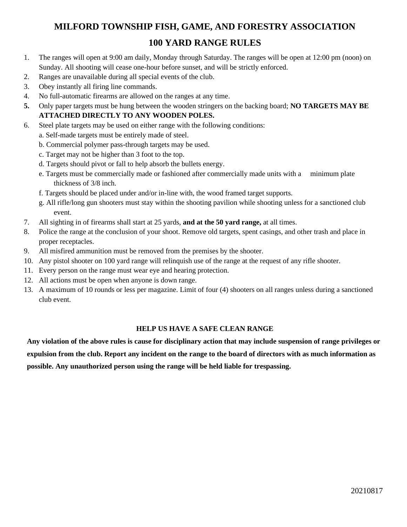## **MILFORD TOWNSHIP FISH, GAME, AND FORESTRY ASSOCIATION 100 YARD RANGE RULES**

#### 1. The ranges will open at 9:00 am daily, Monday through Saturday. The ranges will be open at 12:00 pm (noon) on Sunday. All shooting will cease one-hour before sunset, and will be strictly enforced.

- 2. Ranges are unavailable during all special events of the club.
- 3. Obey instantly all firing line commands.
- 4. No full-automatic firearms are allowed on the ranges at any time.
- **5.** Only paper targets must be hung between the wooden stringers on the backing board; **NO TARGETS MAY BE ATTACHED DIRECTLY TO ANY WOODEN POLES.**
- 6. Steel plate targets may be used on either range with the following conditions:
	- a. Self-made targets must be entirely made of steel.
	- b. Commercial polymer pass-through targets may be used.
	- c. Target may not be higher than 3 foot to the top.
	- d. Targets should pivot or fall to help absorb the bullets energy.
	- e. Targets must be commercially made or fashioned after commercially made units with a minimum plate thickness of 3/8 inch.
	- f. Targets should be placed under and/or in-line with, the wood framed target supports.
	- g. All rifle/long gun shooters must stay within the shooting pavilion while shooting unless for a sanctioned club event.
- 7. All sighting in of firearms shall start at 25 yards, **and at the 50 yard range,** at all times.
- 8. Police the range at the conclusion of your shoot. Remove old targets, spent casings, and other trash and place in proper receptacles.
- 9. All misfired ammunition must be removed from the premises by the shooter.
- 10. Any pistol shooter on 100 yard range will relinquish use of the range at the request of any rifle shooter.
- 11. Every person on the range must wear eye and hearing protection.
- 12. All actions must be open when anyone is down range.
- 13. A maximum of 10 rounds or less per magazine. Limit of four (4) shooters on all ranges unless during a sanctioned club event.

#### **HELP US HAVE A SAFE CLEAN RANGE**

**Any violation of the above rules is cause for disciplinary action that may include suspension of range privileges or expulsion from the club. Report any incident on the range to the board of directors with as much information as possible. Any unauthorized person using the range will be held liable for trespassing.**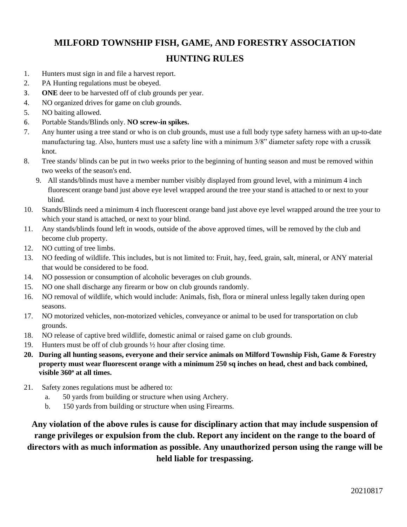## **MILFORD TOWNSHIP FISH, GAME, AND FORESTRY ASSOCIATION HUNTING RULES**

- 1. Hunters must sign in and file a harvest report.
- 2. PA Hunting regulations must be obeyed.
- 3. **ONE** deer to be harvested off of club grounds per year.
- 4. NO organized drives for game on club grounds.
- 5. NO baiting allowed.
- 6. Portable Stands/Blinds only. **NO screw-in spikes.**
- 7. Any hunter using a tree stand or who is on club grounds, must use a full body type safety harness with an up-to-date manufacturing tag. Also, hunters must use a safety line with a minimum 3/8" diameter safety rope with a crussik knot.
- 8. Tree stands/ blinds can be put in two weeks prior to the beginning of hunting season and must be removed within two weeks of the season's end.
	- 9. All stands/blinds must have a member number visibly displayed from ground level, with a minimum 4 inch fluorescent orange band just above eye level wrapped around the tree your stand is attached to or next to your blind.
- 10. Stands/Blinds need a minimum 4 inch fluorescent orange band just above eye level wrapped around the tree your to which your stand is attached, or next to your blind.
- 11. Any stands/blinds found left in woods, outside of the above approved times, will be removed by the club and become club property.
- 12. NO cutting of tree limbs.
- 13. NO feeding of wildlife. This includes, but is not limited to: Fruit, hay, feed, grain, salt, mineral, or ANY material that would be considered to be food.
- 14. NO possession or consumption of alcoholic beverages on club grounds.
- 15. NO one shall discharge any firearm or bow on club grounds randomly.
- 16. NO removal of wildlife, which would include: Animals, fish, flora or mineral unless legally taken during open seasons.
- 17. NO motorized vehicles, non-motorized vehicles, conveyance or animal to be used for transportation on club grounds.
- 18. NO release of captive bred wildlife, domestic animal or raised game on club grounds.
- 19. Hunters must be off of club grounds ½ hour after closing time.
- **20. During all hunting seasons, everyone and their service animals on Milford Township Fish, Game & Forestry property must wear fluorescent orange with a minimum 250 sq inches on head, chest and back combined, visible 360<sup>o</sup> at all times.**
- 21. Safety zones regulations must be adhered to:
	- a. 50 yards from building or structure when using Archery.
	- b. 150 yards from building or structure when using Firearms.

**Any violation of the above rules is cause for disciplinary action that may include suspension of range privileges or expulsion from the club. Report any incident on the range to the board of directors with as much information as possible. Any unauthorized person using the range will be held liable for trespassing.**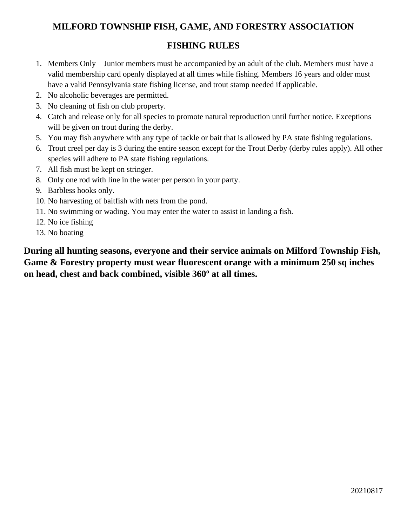#### **MILFORD TOWNSHIP FISH, GAME, AND FORESTRY ASSOCIATION**

#### **FISHING RULES**

- 1. Members Only Junior members must be accompanied by an adult of the club. Members must have a valid membership card openly displayed at all times while fishing. Members 16 years and older must have a valid Pennsylvania state fishing license, and trout stamp needed if applicable.
- 2. No alcoholic beverages are permitted.
- 3. No cleaning of fish on club property.
- 4. Catch and release only for all species to promote natural reproduction until further notice. Exceptions will be given on trout during the derby.
- 5. You may fish anywhere with any type of tackle or bait that is allowed by PA state fishing regulations.
- 6. Trout creel per day is 3 during the entire season except for the Trout Derby (derby rules apply). All other species will adhere to PA state fishing regulations.
- 7. All fish must be kept on stringer.
- 8. Only one rod with line in the water per person in your party.
- 9. Barbless hooks only.
- 10. No harvesting of baitfish with nets from the pond.
- 11. No swimming or wading. You may enter the water to assist in landing a fish.
- 12. No ice fishing
- 13. No boating

**During all hunting seasons, everyone and their service animals on Milford Township Fish, Game & Forestry property must wear fluorescent orange with a minimum 250 sq inches on head, chest and back combined, visible 360<sup>o</sup> at all times.**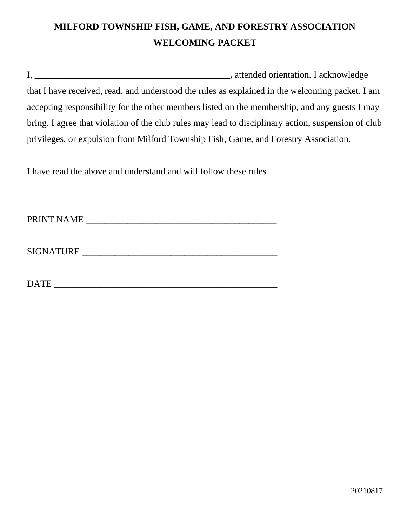## **MILFORD TOWNSHIP FISH, GAME, AND FORESTRY ASSOCIATION WELCOMING PACKET**

I, **\_\_\_\_\_\_\_\_\_\_\_\_\_\_\_\_\_\_\_\_\_\_\_\_\_\_\_\_\_\_\_\_\_\_\_\_\_\_\_\_\_\_,** attended orientation. I acknowledge that I have received, read, and understood the rules as explained in the welcoming packet. I am accepting responsibility for the other members listed on the membership, and any guests I may bring. I agree that violation of the club rules may lead to disciplinary action, suspension of club privileges, or expulsion from Milford Township Fish, Game, and Forestry Association.

I have read the above and understand and will follow these rules

PRINT NAME \_\_\_\_\_\_\_\_\_\_\_\_\_\_\_\_\_\_\_\_\_\_\_\_\_\_\_\_\_\_\_\_\_\_\_\_\_\_\_\_\_

SIGNATURE \_\_\_\_\_\_\_\_\_\_\_\_\_\_\_\_\_\_\_\_\_\_\_\_\_\_\_\_\_\_\_\_\_\_\_\_\_\_\_\_\_\_

DATE \_\_\_\_\_\_\_\_\_\_\_\_\_\_\_\_\_\_\_\_\_\_\_\_\_\_\_\_\_\_\_\_\_\_\_\_\_\_\_\_\_\_\_\_\_\_\_\_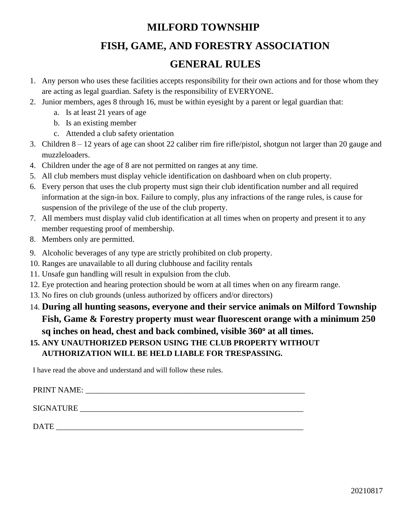# **MILFORD TOWNSHIP**

## **FISH, GAME, AND FORESTRY ASSOCIATION**

## **GENERAL RULES**

- 1. Any person who uses these facilities accepts responsibility for their own actions and for those whom they are acting as legal guardian. Safety is the responsibility of EVERYONE.
- 2. Junior members, ages 8 through 16, must be within eyesight by a parent or legal guardian that:
	- a. Is at least 21 years of age
	- b. Is an existing member
	- c. Attended a club safety orientation
- 3. Children 8 12 years of age can shoot 22 caliber rim fire rifle/pistol, shotgun not larger than 20 gauge and muzzleloaders.
- 4. Children under the age of 8 are not permitted on ranges at any time.
- 5. All club members must display vehicle identification on dashboard when on club property.
- 6. Every person that uses the club property must sign their club identification number and all required information at the sign-in box. Failure to comply, plus any infractions of the range rules, is cause for suspension of the privilege of the use of the club property.
- 7. All members must display valid club identification at all times when on property and present it to any member requesting proof of membership.
- 8. Members only are permitted.
- 9. Alcoholic beverages of any type are strictly prohibited on club property.
- 10. Ranges are unavailable to all during clubhouse and facility rentals
- 11. Unsafe gun handling will result in expulsion from the club.
- 12. Eye protection and hearing protection should be worn at all times when on any firearm range.
- 13. No fires on club grounds (unless authorized by officers and/or directors)
- 14. **During all hunting seasons, everyone and their service animals on Milford Township Fish, Game & Forestry property must wear fluorescent orange with a minimum 250 sq inches on head, chest and back combined, visible 360<sup>o</sup> at all times.**

#### **15. ANY UNAUTHORIZED PERSON USING THE CLUB PROPERTY WITHOUT AUTHORIZATION WILL BE HELD LIABLE FOR TRESPASSING.**

I have read the above and understand and will follow these rules.

PRINT NAME: SIGNATURE LETTER AND THE SERVICE AND THE SERVICE  $\mathcal{L}$ 

DATE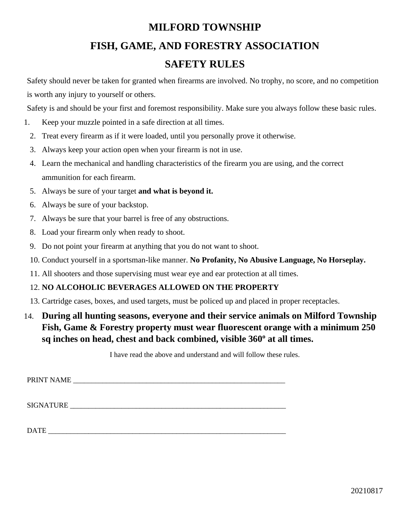# **MILFORD TOWNSHIP FISH, GAME, AND FORESTRY ASSOCIATION SAFETY RULES**

Safety should never be taken for granted when firearms are involved. No trophy, no score, and no competition is worth any injury to yourself or others.

Safety is and should be your first and foremost responsibility. Make sure you always follow these basic rules.

- 1. Keep your muzzle pointed in a safe direction at all times.
	- 2. Treat every firearm as if it were loaded, until you personally prove it otherwise.
	- 3. Always keep your action open when your firearm is not in use.
	- 4. Learn the mechanical and handling characteristics of the firearm you are using, and the correct ammunition for each firearm.
	- 5. Always be sure of your target **and what is beyond it.**
	- 6. Always be sure of your backstop.
	- 7. Always be sure that your barrel is free of any obstructions.
	- 8. Load your firearm only when ready to shoot.
	- 9. Do not point your firearm at anything that you do not want to shoot.
	- 10. Conduct yourself in a sportsman-like manner. **No Profanity, No Abusive Language, No Horseplay.**
	- 11. All shooters and those supervising must wear eye and ear protection at all times.

#### 12. **NO ALCOHOLIC BEVERAGES ALLOWED ON THE PROPERTY**

- 13. Cartridge cases, boxes, and used targets, must be policed up and placed in proper receptacles.
- 14. **During all hunting seasons, everyone and their service animals on Milford Township Fish, Game & Forestry property must wear fluorescent orange with a minimum 250 sq inches on head, chest and back combined, visible 360<sup>o</sup> at all times.**

I have read the above and understand and will follow these rules.

PRINT NAME \_\_\_\_\_\_\_\_\_\_\_\_\_\_\_\_\_\_\_\_\_\_\_\_\_\_\_\_\_\_\_\_\_\_\_\_\_\_\_\_\_\_\_\_\_\_\_\_\_\_\_\_\_\_\_\_\_\_

SIGNATURE **EXECUTE** 

 $\text{DATE}\_\text{max}$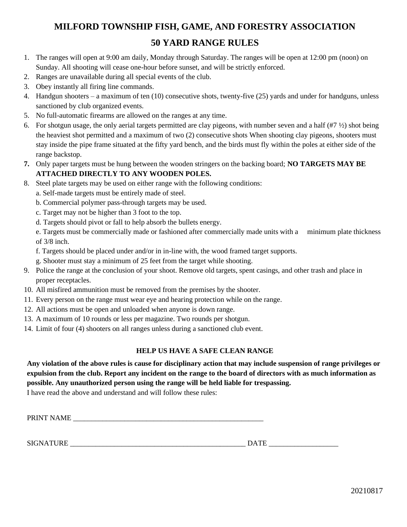## **MILFORD TOWNSHIP FISH, GAME, AND FORESTRY ASSOCIATION 50 YARD RANGE RULES**

- 1. The ranges will open at 9:00 am daily, Monday through Saturday. The ranges will be open at 12:00 pm (noon) on Sunday. All shooting will cease one-hour before sunset, and will be strictly enforced.
- 2. Ranges are unavailable during all special events of the club.
- 3. Obey instantly all firing line commands.
- 4. Handgun shooters a maximum of ten (10) consecutive shots, twenty-five (25) yards and under for handguns, unless sanctioned by club organized events.
- 5. No full-automatic firearms are allowed on the ranges at any time.
- 6. For shotgun usage, the only aerial targets permitted are clay pigeons, with number seven and a half  $(\#7 \frac{1}{2})$  shot being the heaviest shot permitted and a maximum of two (2) consecutive shots When shooting clay pigeons, shooters must stay inside the pipe frame situated at the fifty yard bench, and the birds must fly within the poles at either side of the range backstop.
- **7.** Only paper targets must be hung between the wooden stringers on the backing board; **NO TARGETS MAY BE ATTACHED DIRECTLY TO ANY WOODEN POLES.**
- 8. Steel plate targets may be used on either range with the following conditions:
	- a. Self-made targets must be entirely made of steel.
	- b. Commercial polymer pass-through targets may be used.
	- c. Target may not be higher than 3 foot to the top.
	- d. Targets should pivot or fall to help absorb the bullets energy.
	- e. Targets must be commercially made or fashioned after commercially made units with a minimum plate thickness of 3/8 inch.
	- f. Targets should be placed under and/or in in-line with, the wood framed target supports.
	- g. Shooter must stay a minimum of 25 feet from the target while shooting.
- 9. Police the range at the conclusion of your shoot. Remove old targets, spent casings, and other trash and place in proper receptacles.
- 10. All misfired ammunition must be removed from the premises by the shooter.
- 11. Every person on the range must wear eye and hearing protection while on the range.
- 12. All actions must be open and unloaded when anyone is down range.
- 13. A maximum of 10 rounds or less per magazine. Two rounds per shotgun.
- 14. Limit of four (4) shooters on all ranges unless during a sanctioned club event.

#### **HELP US HAVE A SAFE CLEAN RANGE**

**Any violation of the above rules is cause for disciplinary action that may include suspension of range privileges or expulsion from the club. Report any incident on the range to the board of directors with as much information as possible. Any unauthorized person using the range will be held liable for trespassing.**

I have read the above and understand and will follow these rules:

PRINT NAME

SIGNATURE  $\Box$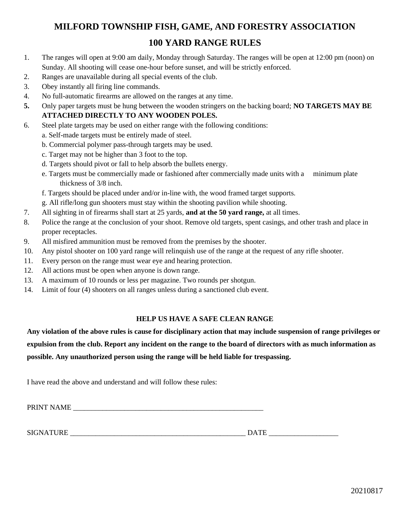## **MILFORD TOWNSHIP FISH, GAME, AND FORESTRY ASSOCIATION 100 YARD RANGE RULES**

- 1. The ranges will open at 9:00 am daily, Monday through Saturday. The ranges will be open at 12:00 pm (noon) on Sunday. All shooting will cease one-hour before sunset, and will be strictly enforced.
- 2. Ranges are unavailable during all special events of the club.
- 3. Obey instantly all firing line commands.
- 4. No full-automatic firearms are allowed on the ranges at any time.
- **5.** Only paper targets must be hung between the wooden stringers on the backing board; **NO TARGETS MAY BE ATTACHED DIRECTLY TO ANY WOODEN POLES.**
- 6. Steel plate targets may be used on either range with the following conditions:
	- a. Self-made targets must be entirely made of steel.
	- b. Commercial polymer pass-through targets may be used.
	- c. Target may not be higher than 3 foot to the top.
	- d. Targets should pivot or fall to help absorb the bullets energy.
	- e. Targets must be commercially made or fashioned after commercially made units with a minimum plate thickness of 3/8 inch.
	- f. Targets should be placed under and/or in-line with, the wood framed target supports.
	- g. All rifle/long gun shooters must stay within the shooting pavilion while shooting.
- 7. All sighting in of firearms shall start at 25 yards, **and at the 50 yard range,** at all times.
- 8. Police the range at the conclusion of your shoot. Remove old targets, spent casings, and other trash and place in proper receptacles.
- 9. All misfired ammunition must be removed from the premises by the shooter.
- 10. Any pistol shooter on 100 yard range will relinquish use of the range at the request of any rifle shooter.
- 11. Every person on the range must wear eye and hearing protection.
- 12. All actions must be open when anyone is down range.
- 13. A maximum of 10 rounds or less per magazine. Two rounds per shotgun.
- 14. Limit of four (4) shooters on all ranges unless during a sanctioned club event.

#### **HELP US HAVE A SAFE CLEAN RANGE**

**Any violation of the above rules is cause for disciplinary action that may include suspension of range privileges or expulsion from the club. Report any incident on the range to the board of directors with as much information as possible. Any unauthorized person using the range will be held liable for trespassing.**

I have read the above and understand and will follow these rules:

PRINT NAME

SIGNATURE \_\_\_\_\_\_\_\_\_\_\_\_\_\_\_\_\_\_\_\_\_\_\_\_\_\_\_\_\_\_\_\_\_\_\_\_\_\_\_\_\_\_\_\_\_\_\_\_ DATE \_\_\_\_\_\_\_\_\_\_\_\_\_\_\_\_\_\_\_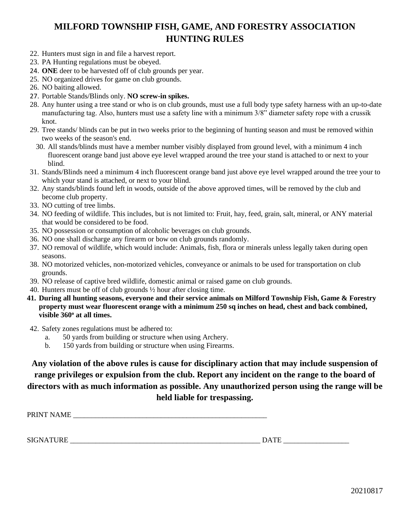## **MILFORD TOWNSHIP FISH, GAME, AND FORESTRY ASSOCIATION HUNTING RULES**

- 22. Hunters must sign in and file a harvest report.
- 23. PA Hunting regulations must be obeyed.
- 24. **ONE** deer to be harvested off of club grounds per year.
- 25. NO organized drives for game on club grounds.
- 26. NO baiting allowed.
- 27. Portable Stands/Blinds only. **NO screw-in spikes.**
- 28. Any hunter using a tree stand or who is on club grounds, must use a full body type safety harness with an up-to-date manufacturing tag. Also, hunters must use a safety line with a minimum 3/8" diameter safety rope with a crussik knot.
- 29. Tree stands/ blinds can be put in two weeks prior to the beginning of hunting season and must be removed within two weeks of the season's end.
	- 30. All stands/blinds must have a member number visibly displayed from ground level, with a minimum 4 inch fluorescent orange band just above eye level wrapped around the tree your stand is attached to or next to your blind.
- 31. Stands/Blinds need a minimum 4 inch fluorescent orange band just above eye level wrapped around the tree your to which your stand is attached, or next to your blind.
- 32. Any stands/blinds found left in woods, outside of the above approved times, will be removed by the club and become club property.
- 33. NO cutting of tree limbs.
- 34. NO feeding of wildlife. This includes, but is not limited to: Fruit, hay, feed, grain, salt, mineral, or ANY material that would be considered to be food.
- 35. NO possession or consumption of alcoholic beverages on club grounds.
- 36. NO one shall discharge any firearm or bow on club grounds randomly.
- 37. NO removal of wildlife, which would include: Animals, fish, flora or minerals unless legally taken during open seasons.
- 38. NO motorized vehicles, non-motorized vehicles, conveyance or animals to be used for transportation on club grounds.
- 39. NO release of captive bred wildlife, domestic animal or raised game on club grounds.
- 40. Hunters must be off of club grounds ½ hour after closing time.
- **41. During all hunting seasons, everyone and their service animals on Milford Township Fish, Game & Forestry property must wear fluorescent orange with a minimum 250 sq inches on head, chest and back combined, visible 360<sup>o</sup> at all times.**
- 42. Safety zones regulations must be adhered to:
	- a. 50 yards from building or structure when using Archery.
	- b. 150 yards from building or structure when using Firearms.

**Any violation of the above rules is cause for disciplinary action that may include suspension of range privileges or expulsion from the club. Report any incident on the range to the board of directors with as much information as possible. Any unauthorized person using the range will be held liable for trespassing.**

PRINT NAME

SIGNATURE  $\Box$